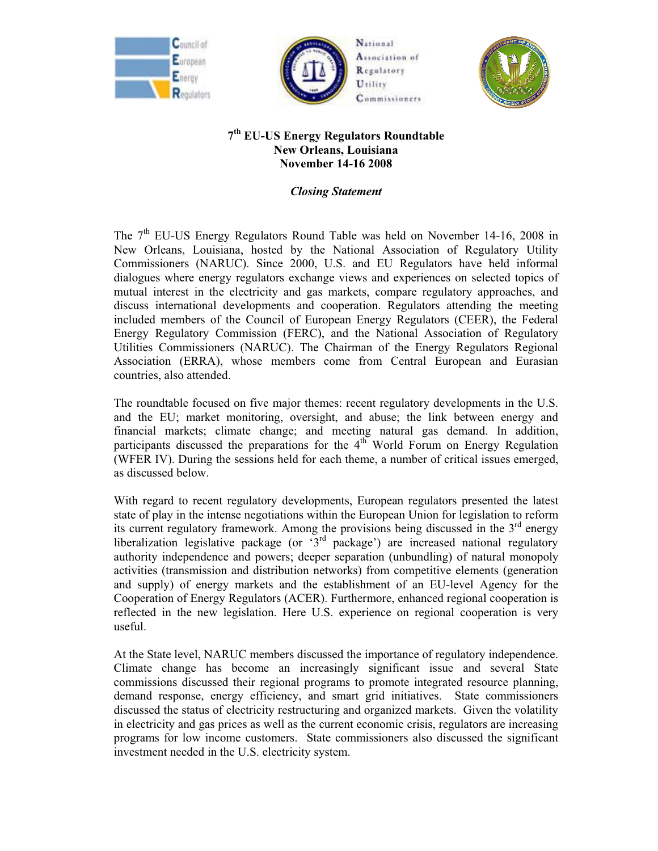





## **7th EU-US Energy Regulators Roundtable New Orleans, Louisiana November 14-16 2008**

*Closing Statement*

The  $7<sup>th</sup>$  EU-US Energy Regulators Round Table was held on November 14-16, 2008 in New Orleans, Louisiana, hosted by the National Association of Regulatory Utility Commissioners (NARUC). Since 2000, U.S. and EU Regulators have held informal dialogues where energy regulators exchange views and experiences on selected topics of mutual interest in the electricity and gas markets, compare regulatory approaches, and discuss international developments and cooperation. Regulators attending the meeting included members of the Council of European Energy Regulators (CEER), the Federal Energy Regulatory Commission (FERC), and the National Association of Regulatory Utilities Commissioners (NARUC). The Chairman of the Energy Regulators Regional Association (ERRA), whose members come from Central European and Eurasian countries, also attended.

The roundtable focused on five major themes: recent regulatory developments in the U.S. and the EU; market monitoring, oversight, and abuse; the link between energy and financial markets; climate change; and meeting natural gas demand. In addition, participants discussed the preparations for the  $4<sup>th</sup>$  World Forum on Energy Regulation (WFER IV). During the sessions held for each theme, a number of critical issues emerged, as discussed below.

With regard to recent regulatory developments, European regulators presented the latest state of play in the intense negotiations within the European Union for legislation to reform its current regulatory framework. Among the provisions being discussed in the  $3<sup>rd</sup>$  energy liberalization legislative package (or '3rd package') are increased national regulatory authority independence and powers; deeper separation (unbundling) of natural monopoly activities (transmission and distribution networks) from competitive elements (generation and supply) of energy markets and the establishment of an EU-level Agency for the Cooperation of Energy Regulators (ACER). Furthermore, enhanced regional cooperation is reflected in the new legislation. Here U.S. experience on regional cooperation is very useful.

At the State level, NARUC members discussed the importance of regulatory independence. Climate change has become an increasingly significant issue and several State commissions discussed their regional programs to promote integrated resource planning, demand response, energy efficiency, and smart grid initiatives. State commissioners discussed the status of electricity restructuring and organized markets. Given the volatility in electricity and gas prices as well as the current economic crisis, regulators are increasing programs for low income customers. State commissioners also discussed the significant investment needed in the U.S. electricity system.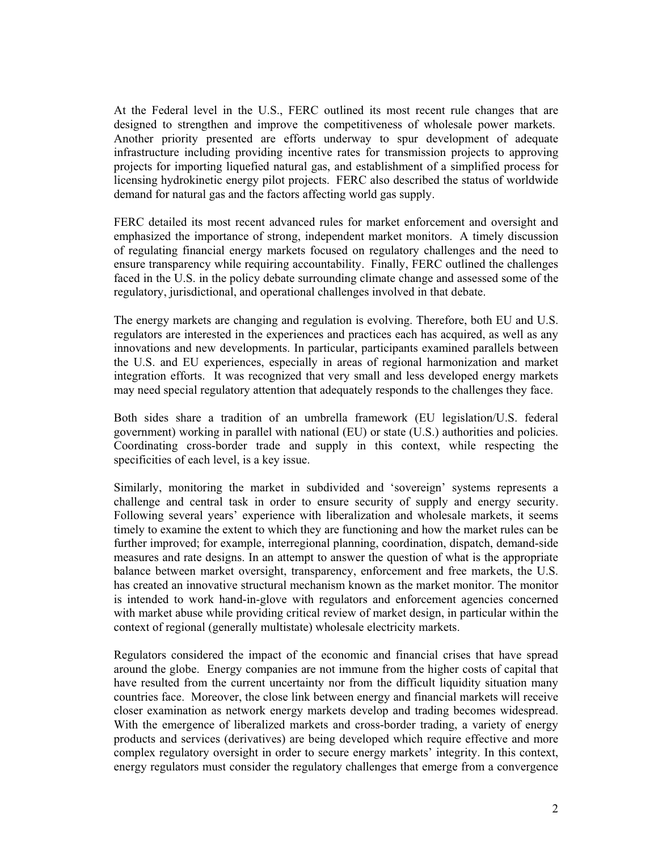At the Federal level in the U.S., FERC outlined its most recent rule changes that are designed to strengthen and improve the competitiveness of wholesale power markets. Another priority presented are efforts underway to spur development of adequate infrastructure including providing incentive rates for transmission projects to approving projects for importing liquefied natural gas, and establishment of a simplified process for licensing hydrokinetic energy pilot projects. FERC also described the status of worldwide demand for natural gas and the factors affecting world gas supply.

FERC detailed its most recent advanced rules for market enforcement and oversight and emphasized the importance of strong, independent market monitors. A timely discussion of regulating financial energy markets focused on regulatory challenges and the need to ensure transparency while requiring accountability. Finally, FERC outlined the challenges faced in the U.S. in the policy debate surrounding climate change and assessed some of the regulatory, jurisdictional, and operational challenges involved in that debate.

The energy markets are changing and regulation is evolving. Therefore, both EU and U.S. regulators are interested in the experiences and practices each has acquired, as well as any innovations and new developments. In particular, participants examined parallels between the U.S. and EU experiences, especially in areas of regional harmonization and market integration efforts. It was recognized that very small and less developed energy markets may need special regulatory attention that adequately responds to the challenges they face.

Both sides share a tradition of an umbrella framework (EU legislation/U.S. federal government) working in parallel with national (EU) or state (U.S.) authorities and policies. Coordinating cross-border trade and supply in this context, while respecting the specificities of each level, is a key issue.

Similarly, monitoring the market in subdivided and 'sovereign' systems represents a challenge and central task in order to ensure security of supply and energy security. Following several years' experience with liberalization and wholesale markets, it seems timely to examine the extent to which they are functioning and how the market rules can be further improved; for example, interregional planning, coordination, dispatch, demand-side measures and rate designs. In an attempt to answer the question of what is the appropriate balance between market oversight, transparency, enforcement and free markets, the U.S. has created an innovative structural mechanism known as the market monitor. The monitor is intended to work hand-in-glove with regulators and enforcement agencies concerned with market abuse while providing critical review of market design, in particular within the context of regional (generally multistate) wholesale electricity markets.

Regulators considered the impact of the economic and financial crises that have spread around the globe. Energy companies are not immune from the higher costs of capital that have resulted from the current uncertainty nor from the difficult liquidity situation many countries face. Moreover, the close link between energy and financial markets will receive closer examination as network energy markets develop and trading becomes widespread. With the emergence of liberalized markets and cross-border trading, a variety of energy products and services (derivatives) are being developed which require effective and more complex regulatory oversight in order to secure energy markets' integrity. In this context, energy regulators must consider the regulatory challenges that emerge from a convergence